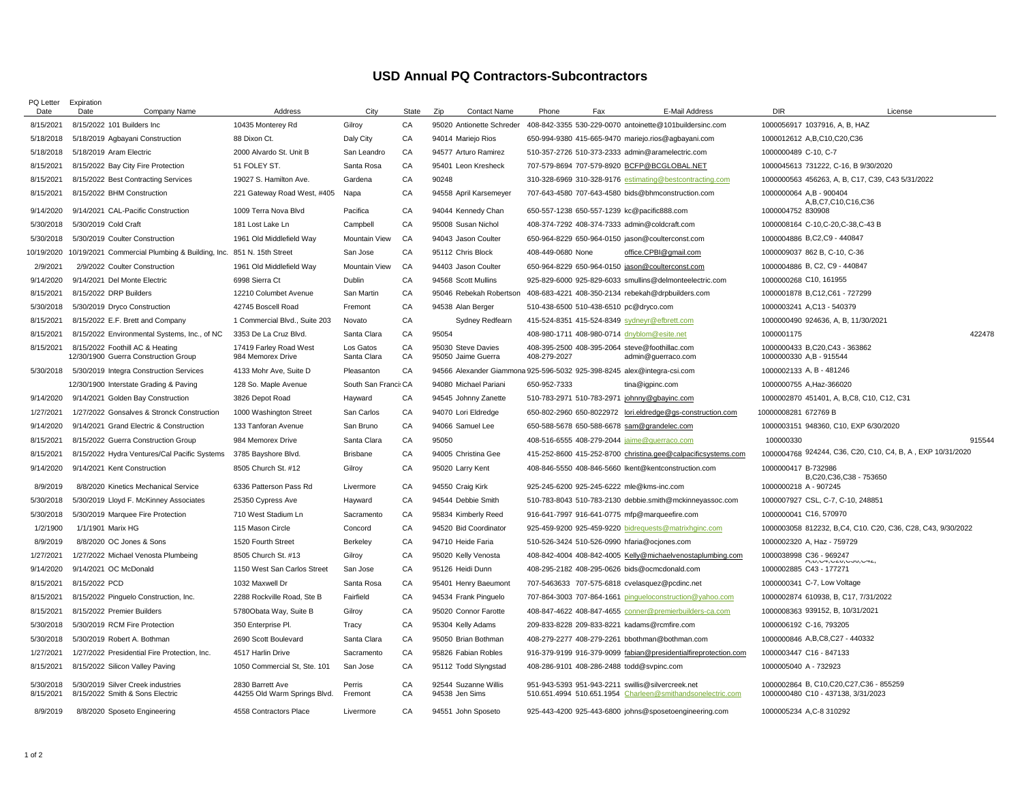## **USD Annual PQ Contractors-Subcontractors**

| PQ Letter<br>Date      | Expiration<br>Date                                                      | Address                                          | City                     | State    | Zip<br><b>Contact Name</b>               | Phone<br>Fax                                                            | E-Mail Address                                                  | <b>DIR</b><br>License                                                                    |        |
|------------------------|-------------------------------------------------------------------------|--------------------------------------------------|--------------------------|----------|------------------------------------------|-------------------------------------------------------------------------|-----------------------------------------------------------------|------------------------------------------------------------------------------------------|--------|
|                        | Company Name                                                            |                                                  |                          | CA       |                                          |                                                                         |                                                                 |                                                                                          |        |
| 8/15/2021              | 8/15/2022 101 Builders Inc                                              | 10435 Monterey Rd                                | Gilroy                   |          | 95020 Antionette Schreder                |                                                                         | 408-842-3355 530-229-0070 antoinette@101buildersinc.com         | 1000056917 1037916, A, B, HAZ                                                            |        |
| 5/18/2018              | 5/18/2019 Agbayani Construction                                         | 88 Dixon Ct.                                     | Daly City                | CA       | 94014 Mariejo Rios                       |                                                                         | 650-994-9380 415-665-9470 mariejo.rios@agbayani.com             | 1000012612 A,B,C10,C20,C36                                                               |        |
| 5/18/2018              | 5/18/2019 Aram Electric                                                 | 2000 Alvardo St. Unit B                          | San Leandro              | CA       | 94577 Arturo Ramirez                     | 510-357-2726 510-373-2333 admin@aramelectric.com                        |                                                                 | 1000000489 C-10, C-7                                                                     |        |
| 8/15/2021              | 8/15/2022 Bay City Fire Protection                                      | 51 FOLEY ST.                                     | Santa Rosa<br>Gardena    | CA<br>CA | 95401 Leon Kresheck<br>90248             | 707-579-8694 707-579-8920 BCFP@BCGLOBAL.NET                             |                                                                 | 1000045613 731222, C-16, B 9/30/2020<br>1000000563 456263, A, B, C17, C39, C43 5/31/2022 |        |
| 8/15/2021              | 8/15/2022 Best Contracting Services                                     | 19027 S. Hamilton Ave.                           |                          |          |                                          |                                                                         | 310-328-6969 310-328-9176 estimating@bestcontracting.com        |                                                                                          |        |
| 8/15/2021              | 8/15/2022 BHM Construction                                              | 221 Gateway Road West, #405                      | Napa                     | CA       | 94558 April Karsemeyer                   |                                                                         | 707-643-4580 707-643-4580 bids@bhmconstruction.com              | 1000000064 A,B - 900404<br>A,B,C7,C10,C16,C36                                            |        |
| 9/14/2020              | 9/14/2021 CAL-Pacific Construction                                      | 1009 Terra Nova Blvd                             | Pacifica                 | CA       | 94044 Kennedy Chan                       | 650-557-1238 650-557-1239 kc@pacific888.com                             |                                                                 | 1000004752 830908                                                                        |        |
| 5/30/2018              | 5/30/2019 Cold Craft                                                    | 181 Lost Lake Ln                                 | Campbell                 | CA       | 95008 Susan Nichol                       | 408-374-7292 408-374-7333 admin@coldcraft.com                           |                                                                 | 1000008164 C-10, C-20, C-38, C-43 B                                                      |        |
| 5/30/2018              | 5/30/2019 Coulter Construction                                          | 1961 Old Middlefield Way                         | Mountain View            | CA       | 94043 Jason Coulter                      | 650-964-8229 650-964-0150 jason@coulterconst.com                        |                                                                 | 1000004886 B,C2,C9 - 440847                                                              |        |
| 10/19/2020             | 10/19/2021 Commercial Plumbing & Building, Inc. 851 N. 15th Street      |                                                  | San Jose                 | CA       | 95112 Chris Block                        | 408-449-0680 None                                                       | office.CPBI@gmail.com                                           | 1000009037 862 B, C-10, C-36                                                             |        |
| 2/9/2021               | 2/9/2022 Coulter Construction                                           | 1961 Old Middlefield Way                         | <b>Mountain View</b>     | CA       | 94403 Jason Coulter                      | 650-964-8229 650-964-0150 jason@coulterconst.com                        |                                                                 | 1000004886 B, C2, C9 - 440847                                                            |        |
| 9/14/2020              | 9/14/2021 Del Monte Electric                                            | 6998 Sierra Ct                                   | Dublin                   | CA       | 94568 Scott Mullins                      |                                                                         | 925-829-6000 925-829-6033 smullins@delmonteelectric.com         | 1000000268 C10, 161955                                                                   |        |
| 8/15/2021              | 8/15/2022 DRP Builders                                                  | 12210 Columbet Avenue                            | San Martin               | CA       | 95046 Rebekah Robertson                  |                                                                         | 408-683-4221 408-350-2134 rebekah@drpbuilders.com               | 1000001878 B,C12,C61 - 727299                                                            |        |
| 5/30/2018              | 5/30/2019 Dryco Construction                                            | 42745 Boscell Road                               | Fremont                  | CA       | 94538 Alan Berger                        | 510-438-6500 510-438-6510 pc@dryco.com                                  |                                                                 | 1000003241 A,C13 - 540379                                                                |        |
| 8/15/2021              | 8/15/2022 E.F. Brett and Company                                        | 1 Commercial Blvd., Suite 203                    | Novato                   | CA       | Sydney Redfearn                          | 415-524-8351 415-524-8349 sydneyr@efbrett.com                           |                                                                 | 1000000490 924636, A, B, 11/30/2021                                                      |        |
| 8/15/2021              | 8/15/2022 Environmental Systems, Inc., of NC                            | 3353 De La Cruz Blvd.                            | Santa Clara              | CA       | 95054                                    | 408-980-1711 408-980-0714 dnyblom@esite.net                             |                                                                 | 1000001175                                                                               | 422478 |
| 8/15/2021              | 8/15/2022 Foothill AC & Heating<br>12/30/1900 Guerra Construction Group | 17419 Farley Road West<br>984 Memorex Drive      | Los Gatos<br>Santa Clara | CA<br>CA | 95030 Steve Davies<br>95050 Jaime Guerra | 408-395-2500 408-395-2064 steve@foothillac.com<br>408-279-2027          | admin@guerraco.com                                              | 1000000433 B,C20,C43 - 363862<br>1000000330 A.B - 915544                                 |        |
| 5/30/2018              | 5/30/2019 Integra Construction Services                                 | 4133 Mohr Ave, Suite D                           | Pleasanton               | CA       |                                          | 94566 Alexander Giammona 925-596-5032 925-398-8245 alex@integra-csi.com |                                                                 | 1000002133 A, B - 481246                                                                 |        |
|                        | 12/30/1900 Interstate Grading & Paving                                  | 128 So. Maple Avenue                             | South San Franci: CA     |          | 94080 Michael Pariani                    | 650-952-7333                                                            | tina@igpinc.com                                                 | 1000000755 A, Haz-366020                                                                 |        |
| 9/14/2020              | 9/14/2021 Golden Bay Construction                                       | 3826 Depot Road                                  | Hayward                  | CA       | 94545 Johnny Zanette                     | 510-783-2971 510-783-2971 johnny@gbayinc.com                            |                                                                 | 1000002870 451401, A, B, C8, C10, C12, C31                                               |        |
| 1/27/2021              | 1/27/2022 Gonsalves & Stronck Construction                              | 1000 Washington Street                           | San Carlos               | CA       | 94070 Lori Eldredge                      |                                                                         | 650-802-2960 650-8022972 lori.eldredge@gs-construction.com      | 10000008281 672769 B                                                                     |        |
| 9/14/2020              | 9/14/2021 Grand Electric & Construction                                 | 133 Tanforan Avenue                              | San Bruno                | CA       | 94066 Samuel Lee                         | 650-588-5678 650-588-6678 sam@grandelec.com                             |                                                                 | 1000003151 948360, C10, EXP 6/30/2020                                                    |        |
| 8/15/2021              | 8/15/2022 Guerra Construction Group                                     | 984 Memorex Drive                                | Santa Clara              | CA       | 95050                                    | 408-516-6555 408-279-2044 jaime@querraco.com                            |                                                                 | 100000330                                                                                | 915544 |
| 8/15/2021              | 8/15/2022 Hydra Ventures/Cal Pacific Systems                            | 3785 Bayshore Blvd.                              | Brisbane                 | CA       | 94005 Christina Gee                      |                                                                         | 415-252-8600 415-252-8700 christina.gee@calpacificsystems.com   | 1000004768 924244, C36, C20, C10, C4, B, A, EXP 10/31/2020                               |        |
| 9/14/2020              | 9/14/2021 Kent Construction                                             | 8505 Church St. #12                              | Gilroy                   | CA       | 95020 Larry Kent                         |                                                                         | 408-846-5550 408-846-5660 lkent@kentconstruction.com            | 1000000417 B-732986<br>B,C20,C36,C38 - 753650                                            |        |
| 8/9/2019               | 8/8/2020 Kinetics Mechanical Service                                    | 6336 Patterson Pass Rd                           | Livermore                | CA       | 94550 Craig Kirk                         | 925-245-6200 925-245-6222 mle@kms-inc.com                               |                                                                 | 1000000218 A - 907245                                                                    |        |
| 5/30/2018              | 5/30/2019 Lloyd F. McKinney Associates                                  | 25350 Cypress Ave                                | Hayward                  | CA       | 94544 Debbie Smith                       |                                                                         | 510-783-8043 510-783-2130 debbie.smith@mckinneyassoc.com        | 1000007927 CSL, C-7, C-10, 248851                                                        |        |
| 5/30/2018              | 5/30/2019 Marquee Fire Protection                                       | 710 West Stadium Ln                              | Sacramento               | CA       | 95834 Kimberly Reed                      | 916-641-7997 916-641-0775 mfp@marqueefire.com                           |                                                                 | 1000000041 C16, 570970                                                                   |        |
| 1/2/1900               | 1/1/1901 Marix HG                                                       | 115 Mason Circle                                 | Concord                  | CA       | 94520 Bid Coordinator                    |                                                                         | 925-459-9200 925-459-9220 bidrequests@matrixhginc.com           | 1000003058 812232, B,C4, C10. C20, C36, C28, C43, 9/30/2022                              |        |
| 8/9/2019               | 8/8/2020 OC Jones & Sons                                                | 1520 Fourth Street                               | Berkeley                 | CA       | 94710 Heide Faria                        | 510-526-3424 510-526-0990 hfaria@ocjones.com                            |                                                                 | 1000002320 A, Haz - 759729                                                               |        |
| 1/27/2021              | 1/27/2022 Michael Venosta Plumbeing                                     | 8505 Church St. #13                              | Gilroy                   | CA       | 95020 Kelly Venosta                      |                                                                         | 408-842-4004 408-842-4005 Kelly@michaelvenostaplumbing.com      | 1000038998 C36 - 969247<br><b>MUUTULOUUUUUTL</b>                                         |        |
| 9/14/2020              | 9/14/2021 OC McDonald                                                   | 1150 West San Carlos Street                      | San Jose                 | CA       | 95126 Heidi Dunn                         | 408-295-2182 408-295-0626 bids@ocmcdonald.com                           |                                                                 | 1000002885 C43 - 177271                                                                  |        |
| 8/15/2021              | 8/15/2022 PCD                                                           | 1032 Maxwell Dr                                  | Santa Rosa               | CA       | 95401 Henry Baeumont                     | 707-5463633 707-575-6818 cvelasquez@pcdinc.net                          |                                                                 | 1000000341 C-7, Low Voltage                                                              |        |
| 8/15/2021              | 8/15/2022 Pinguelo Construction, Inc.                                   | 2288 Rockville Road, Ste B                       | Fairfield                | CA       | 94534 Frank Pinguelo                     |                                                                         | 707-864-3003 707-864-1661 pingueloconstruction@yahoo.com        | 1000002874 610938, B, C17, 7/31/2022                                                     |        |
| 8/15/2021              | 8/15/2022 Premier Builders                                              | 5780Obata Way, Suite B                           | Gilroy                   | CA       | 95020 Connor Farotte                     |                                                                         | 408-847-4622 408-847-4655 conner@premierbuilders-ca.com         | 1000008363 939152, B, 10/31/2021                                                         |        |
| 5/30/2018              | 5/30/2019 RCM Fire Protection                                           | 350 Enterprise Pl.                               | Tracy                    | CA       | 95304 Kelly Adams                        | 209-833-8228 209-833-8221 kadams@rcmfire.com                            |                                                                 | 1000006192 C-16, 793205                                                                  |        |
| 5/30/2018              | 5/30/2019 Robert A. Bothman                                             | 2690 Scott Boulevard                             | Santa Clara              | CA       | 95050 Brian Bothman                      |                                                                         | 408-279-2277 408-279-2261 bbothman@bothman.com                  | 1000000846 A, B, C8, C27 - 440332                                                        |        |
| 1/27/2021              | 1/27/2022 Presidential Fire Protection, Inc.                            | 4517 Harlin Drive                                | Sacramento               | CA       | 95826 Fabian Robles                      |                                                                         | 916-379-9199 916-379-9099 fabian@presidentialfireprotection.com | 1000003447 C16 - 847133                                                                  |        |
| 8/15/2021              | 8/15/2022 Silicon Valley Paving                                         | 1050 Commercial St, Ste. 101                     | San Jose                 | CA       | 95112 Todd Slyngstad                     | 408-286-9101 408-286-2488 todd@svpinc.com                               |                                                                 | 1000005040 A - 732923                                                                    |        |
| 5/30/2018<br>8/15/2021 | 5/30/2019 Silver Creek industries<br>8/15/2022 Smith & Sons Electric    | 2830 Barrett Ave<br>44255 Old Warm Springs Blvd. | Perris<br>Fremont        | CA<br>CA | 92544 Suzanne Willis<br>94538 Jen Sims   | 951-943-5393 951-943-2211 swillis@silvercreek.net                       | 510.651.4994 510.651.1954 Charleen@smithandsonelectric.com      | 1000002864 B, C10,C20,C27,C36 - 855259<br>1000000480 C10 - 437138, 3/31/2023             |        |
| 8/9/2019               | 8/8/2020 Sposeto Engineering                                            | 4558 Contractors Place                           | Livermore                | CA       | 94551 John Sposeto                       |                                                                         | 925-443-4200 925-443-6800 johns@sposetoengineering.com          | 1000005234 A.C-8 310292                                                                  |        |
|                        |                                                                         |                                                  |                          |          |                                          |                                                                         |                                                                 |                                                                                          |        |